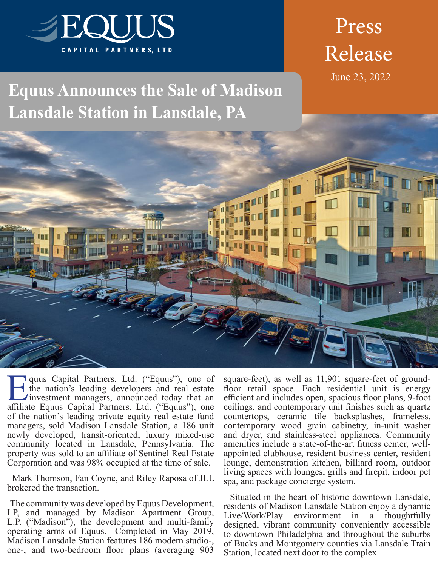

# Press Release

June 23, 2022

## **Equus Announces the Sale of Madison Lansdale Station in Lansdale, PA**



**Equus Capital Partners, Ltd. ("Equus"), one of** the nation's leading developers and real estate investment managers, announced today that an affiliate Equus Capital Partners Ltd. ("Equus") one the nation's leading developers and real estate Investment managers, announced today that an affiliate Equus Capital Partners, Ltd. ("Equus"), one of the nation's leading private equity real estate fund managers, sold Madison Lansdale Station, a 186 unit newly developed, transit-oriented, luxury mixed-use community located in Lansdale, Pennsylvania. The property was sold to an affiliate of Sentinel Real Estate Corporation and was 98% occupied at the time of sale.

 Mark Thomson, Fan Coyne, and Riley Raposa of JLL brokered the transaction.

 The community was developed by Equus Development, LP, and managed by Madison Apartment Group, L.P. ("Madison"), the development and multi-family operating arms of Equus. Completed in May 2019, Madison Lansdale Station features 186 modern studio-, one-, and two-bedroom floor plans (averaging 903 square-feet), as well as 11,901 square-feet of groundfloor retail space. Each residential unit is energy efficient and includes open, spacious floor plans, 9-foot ceilings, and contemporary unit finishes such as quartz countertops, ceramic tile backsplashes, frameless, contemporary wood grain cabinetry, in-unit washer and dryer, and stainless-steel appliances. Community amenities include a state-of-the-art fitness center, wellappointed clubhouse, resident business center, resident lounge, demonstration kitchen, billiard room, outdoor living spaces with lounges, grills and firepit, indoor pet spa, and package concierge system.

 Situated in the heart of historic downtown Lansdale, residents of Madison Lansdale Station enjoy a dynamic Live/Work/Play environment in a thoughtfully designed, vibrant community conveniently accessible to downtown Philadelphia and throughout the suburbs of Bucks and Montgomery counties via Lansdale Train Station, located next door to the complex.